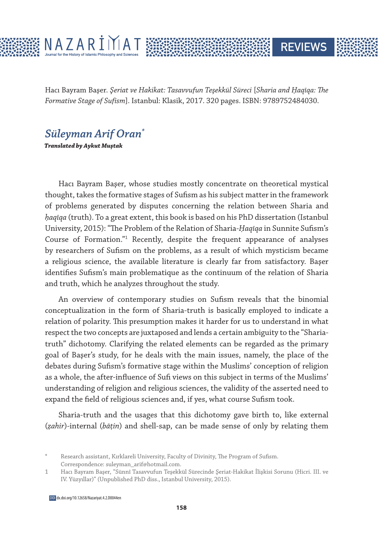

Hacı Bayram Başer. *Şeriat ve Hakikat: Tasavvufun Teşekkül Süreci* [*Sharia and Ḥaqīqa: The Formative Stage of Sufism*]. Istanbul: Klasik, 2017. 320 pages. ISBN: 9789752484030.

**REVIEWS** 

## *Süleyman Arif Oran\**

**Translated by Aykut Muştak**

Hacı Bayram Başer, whose studies mostly concentrate on theoretical mystical thought, takes the formative stages of Sufism as his subject matter in the framework of problems generated by disputes concerning the relation between Sharia and *ḥaqīqa* (truth). To a great extent, this book is based on his PhD dissertation (Istanbul University, 2015): "The Problem of the Relation of Sharia-*Ḥaqīqa* in Sunnite Sufism's Course of Formation."<sup>1</sup> Recently, despite the frequent appearance of analyses by researchers of Sufism on the problems, as a result of which mysticism became a religious science, the available literature is clearly far from satisfactory. Başer identifies Sufism's main problematique as the continuum of the relation of Sharia and truth, which he analyzes throughout the study.

An overview of contemporary studies on Sufism reveals that the binomial conceptualization in the form of Sharia-truth is basically employed to indicate a relation of polarity. This presumption makes it harder for us to understand in what respect the two concepts are juxtaposed and lends a certain ambiguity to the "Shariatruth" dichotomy. Clarifying the related elements can be regarded as the primary goal of Başer's study, for he deals with the main issues, namely, the place of the debates during Sufism's formative stage within the Muslims' conception of religion as a whole, the after-influence of Sufi views on this subject in terms of the Muslims' understanding of religion and religious sciences, the validity of the asserted need to expand the field of religious sciences and, if yes, what course Sufism took.

Sharia-truth and the usages that this dichotomy gave birth to, like external (*ẓahir*)-internal (*bāṭin*) and shell-sap, can be made sense of only by relating them

Research assistant, Kırklareli University, Faculty of Divinity, The Program of Sufism. Correspondence: suleyman\_arif@hotmail.com.

<sup>1</sup> Hacı Bayram Başer, "Sünnî Tasavvufun Teşekkül Sürecinde Şeriat-Hakikat İlişkisi Sorunu (Hicri. III. ve IV. Yüzyıllar)" (Unpublished PhD diss., Istanbul University, 2015).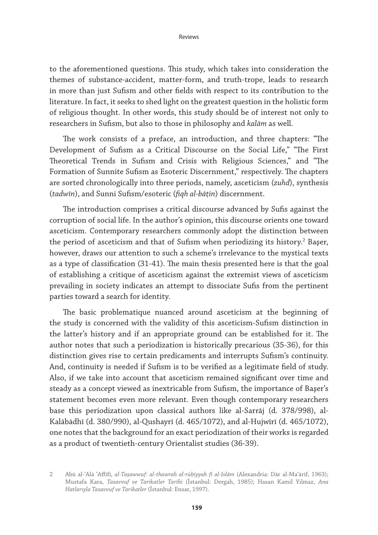to the aforementioned questions. This study, which takes into consideration the themes of substance-accident, matter-form, and truth-trope, leads to research in more than just Sufism and other fields with respect to its contribution to the literature. In fact, it seeks to shed light on the greatest question in the holistic form of religious thought. In other words, this study should be of interest not only to researchers in Sufism, but also to those in philosophy and *kalām* as well.

The work consists of a preface, an introduction, and three chapters: "The Development of Sufism as a Critical Discourse on the Social Life," "The First Theoretical Trends in Sufism and Crisis with Religious Sciences," and "The Formation of Sunnite Sufism as Esoteric Discernment," respectively. The chapters are sorted chronologically into three periods, namely, asceticism (*zuhd*), synthesis (*tadwīn*), and Sunni Sufism/esoteric (*fiqh al-bāṭin*) discernment.

The introduction comprises a critical discourse advanced by Sufis against the corruption of social life. In the author's opinion, this discourse orients one toward asceticism. Contemporary researchers commonly adopt the distinction between the period of asceticism and that of Sufism when periodizing its history.<sup>2</sup> Başer, however, draws our attention to such a scheme's irrelevance to the mystical texts as a type of classification (31-41). The main thesis presented here is that the goal of establishing a critique of asceticism against the extremist views of asceticism prevailing in society indicates an attempt to dissociate Sufis from the pertinent parties toward a search for identity.

The basic problematique nuanced around asceticism at the beginning of the study is concerned with the validity of this asceticism-Sufism distinction in the latter's history and if an appropriate ground can be established for it. The author notes that such a periodization is historically precarious (35-36), for this distinction gives rise to certain predicaments and interrupts Sufism's continuity. And, continuity is needed if Sufism is to be verified as a legitimate field of study. Also, if we take into account that asceticism remained significant over time and steady as a concept viewed as inextricable from Sufism, the importance of Başer's statement becomes even more relevant. Even though contemporary researchers base this periodization upon classical authors like al-Sarrāj (d. 378/998), al-Kalābādhī (d. 380/990), al-Qushayrī (d. 465/1072), and al-Hujwīrī (d. 465/1072), one notes that the background for an exact periodization of their works is regarded as a product of twentieth-century Orientalist studies (36-39).

<sup>2</sup> Abū al-ʿAlā ʿAffīfī, *al-Taṣawwuf: al-thawrah al-rūḥiyyah fī al-Islām* (Alexandria: Dār al-Maʿārif, 1963); Mustafa Kara, *Tasavvuf ve Tarikatler Tarihi* (İstanbul: Dergah, 1985); Hasan Kamil Yılmaz, *Ana Hatlarıyla Tasavvuf ve Tarikatler* (İstanbul: Ensar, 1997).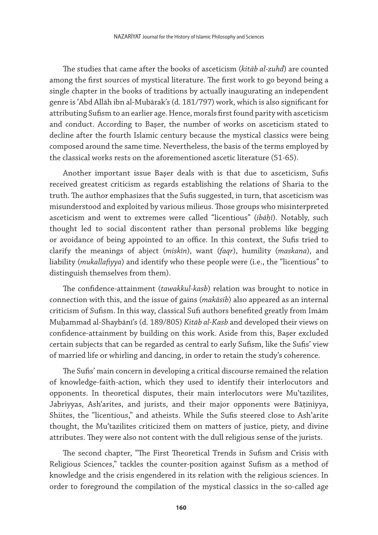The studies that came after the books of asceticism (*kitāb al-zuhd*) are counted among the first sources of mystical literature. The first work to go beyond being a single chapter in the books of traditions by actually inaugurating an independent genre is ʿAbd Allāh ibn al-Mubārak's (d. 181/797) work, which is also significant for attributing Sufism to an earlier age. Hence, morals first found parity with asceticism and conduct. According to Başer, the number of works on asceticism stated to decline after the fourth Islamic century because the mystical classics were being composed around the same time. Nevertheless, the basis of the terms employed by the classical works rests on the aforementioned ascetic literature (51-65).

Another important issue Başer deals with is that due to asceticism, Sufis received greatest criticism as regards establishing the relations of Sharia to the truth. The author emphasizes that the Sufis suggested, in turn, that asceticism was misunderstood and exploited by various milieus. Those groups who misinterpreted asceticism and went to extremes were called "licentious" (*ibāḥī*). Notably, such thought led to social discontent rather than personal problems like begging or avoidance of being appointed to an office. In this context, the Sufis tried to clarify the meanings of abject (*miskīn*), want (*faqr*), humility (*maskana*), and liability (*mukallafiyya*) and identify who these people were (i.e., the "licentious" to distinguish themselves from them).

The confidence-attainment (*tawakkul-kasb*) relation was brought to notice in connection with this, and the issue of gains (*makāsib*) also appeared as an internal criticism of Sufism. In this way, classical Sufi authors benefited greatly from Imām Muḥammad al-Shaybānī's (d. 189/805) *Kitāb al-Kasb* and developed their views on confidence-attainment by building on this work. Aside from this, Başer excluded certain subjects that can be regarded as central to early Sufism, like the Sufis' view of married life or whirling and dancing, in order to retain the study's coherence.

The Sufis' main concern in developing a critical discourse remained the relation of knowledge-faith-action, which they used to identify their interlocutors and opponents. In theoretical disputes, their main interlocutors were Muʿtazilites, Jabriyyas, Ash'arites, and jurists, and their major opponents were Bāṭiniyya, Shiites, the "licentious," and atheists. While the Sufis steered close to Ashʿarite thought, the Muʿtazilites criticized them on matters of justice, piety, and divine attributes. They were also not content with the dull religious sense of the jurists.

The second chapter, "The First Theoretical Trends in Sufism and Crisis with Religious Sciences," tackles the counter-position against Sufism as a method of knowledge and the crisis engendered in its relation with the religious sciences. In order to foreground the compilation of the mystical classics in the so-called age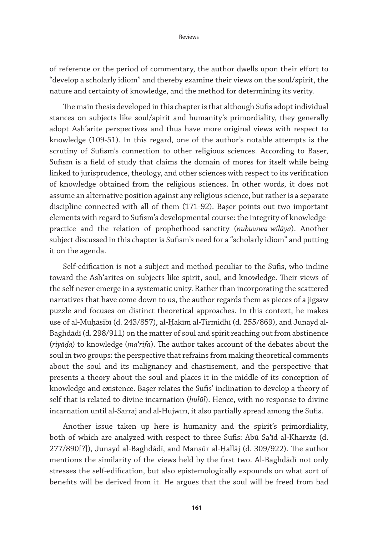of reference or the period of commentary, the author dwells upon their effort to "develop a scholarly idiom" and thereby examine their views on the soul/spirit, the nature and certainty of knowledge, and the method for determining its verity.

The main thesis developed in this chapter is that although Sufis adopt individual stances on subjects like soul/spirit and humanity's primordiality, they generally adopt Ashʿarite perspectives and thus have more original views with respect to knowledge (109-51). In this regard, one of the author's notable attempts is the scrutiny of Sufism's connection to other religious sciences. According to Başer, Sufism is a field of study that claims the domain of mores for itself while being linked to jurisprudence, theology, and other sciences with respect to its verification of knowledge obtained from the religious sciences. In other words, it does not assume an alternative position against any religious science, but rather is a separate discipline connected with all of them (171-92). Başer points out two important elements with regard to Sufism's developmental course: the integrity of knowledgepractice and the relation of prophethood-sanctity (*nubuwwa-wilāya*). Another subject discussed in this chapter is Sufism's need for a "scholarly idiom" and putting it on the agenda.

Self-edification is not a subject and method peculiar to the Sufis, who incline toward the Ashʿarites on subjects like spirit, soul, and knowledge. Their views of the self never emerge in a systematic unity. Rather than incorporating the scattered narratives that have come down to us, the author regards them as pieces of a jigsaw puzzle and focuses on distinct theoretical approaches. In this context, he makes use of al-Muḥāsibī (d. 243/857), al-Ḥakīm al-Tirmidhī (d. 255/869), and Junayd al-Baghdādī (d. 298/911) on the matter of soul and spirit reaching out from abstinence (*riyāḍa*) to knowledge (*ma*ʿ*rifa*). The author takes account of the debates about the soul in two groups: the perspective that refrains from making theoretical comments about the soul and its malignancy and chastisement, and the perspective that presents a theory about the soul and places it in the middle of its conception of knowledge and existence. Başer relates the Sufis' inclination to develop a theory of self that is related to divine incarnation (*ḥulūl*). Hence, with no response to divine incarnation until al-Sarrāj and al-Hujwīrī, it also partially spread among the Sufis.

Another issue taken up here is humanity and the spirit's primordiality, both of which are analyzed with respect to three Sufis: Abū Saʿīd al-Kharrāz (d. 277/890[?]), Junayd al-Baghdādī, and Manṣūr al-Ḥallāj (d. 309/922). The author mentions the similarity of the views held by the first two. Al-Baghdādī not only stresses the self-edification, but also epistemologically expounds on what sort of benefits will be derived from it. He argues that the soul will be freed from bad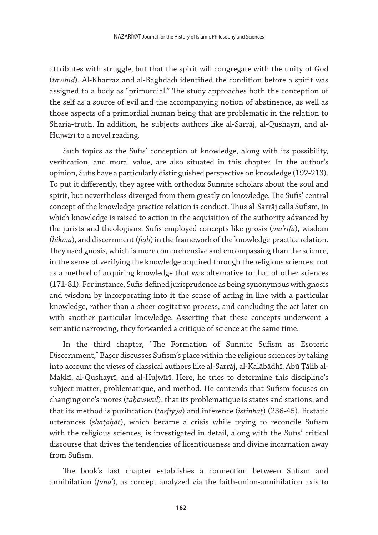attributes with struggle, but that the spirit will congregate with the unity of God (*tawḥīd*). Al-Kharrāz and al-Baghdādī identified the condition before a spirit was assigned to a body as "primordial." The study approaches both the conception of the self as a source of evil and the accompanying notion of abstinence, as well as those aspects of a primordial human being that are problematic in the relation to Sharia-truth. In addition, he subjects authors like al-Sarrāj, al-Qushayrī, and al-Hujwīrī to a novel reading.

Such topics as the Sufis' conception of knowledge, along with its possibility, verification, and moral value, are also situated in this chapter. In the author's opinion, Sufis have a particularly distinguished perspective on knowledge (192-213). To put it differently, they agree with orthodox Sunnite scholars about the soul and spirit, but nevertheless diverged from them greatly on knowledge. The Sufis' central concept of the knowledge-practice relation is conduct. Thus al-Sarrāj calls Sufism, in which knowledge is raised to action in the acquisition of the authority advanced by the jurists and theologians. Sufis employed concepts like gnosis (*maʿrifa*), wisdom (*ḥikma*), and discernment (*fiqh*) in the framework of the knowledge-practice relation. They used gnosis, which is more comprehensive and encompassing than the science, in the sense of verifying the knowledge acquired through the religious sciences, not as a method of acquiring knowledge that was alternative to that of other sciences (171-81). For instance, Sufis defined jurisprudence as being synonymous with gnosis and wisdom by incorporating into it the sense of acting in line with a particular knowledge, rather than a sheer cogitative process, and concluding the act later on with another particular knowledge. Asserting that these concepts underwent a semantic narrowing, they forwarded a critique of science at the same time.

In the third chapter, "The Formation of Sunnite Sufism as Esoteric Discernment," Başer discusses Sufism's place within the religious sciences by taking into account the views of classical authors like al-Sarrāj, al-Kalābādhī, Abū Ṭālib al-Makkī, al-Qushayrī, and al-Hujwīrī. Here, he tries to determine this discipline's subject matter, problematique, and method. He contends that Sufism focuses on changing one's mores (*taḥawwul*), that its problematique is states and stations, and that its method is purification (*taṣfiyya*) and inference (*istinbāṭ*) (236-45). Ecstatic utterances (*shaṭaḥāt*), which became a crisis while trying to reconcile Sufism with the religious sciences, is investigated in detail, along with the Sufis' critical discourse that drives the tendencies of licentiousness and divine incarnation away from Sufism.

The book's last chapter establishes a connection between Sufism and annihilation (*fanāʾ*), as concept analyzed via the faith-union-annihilation axis to